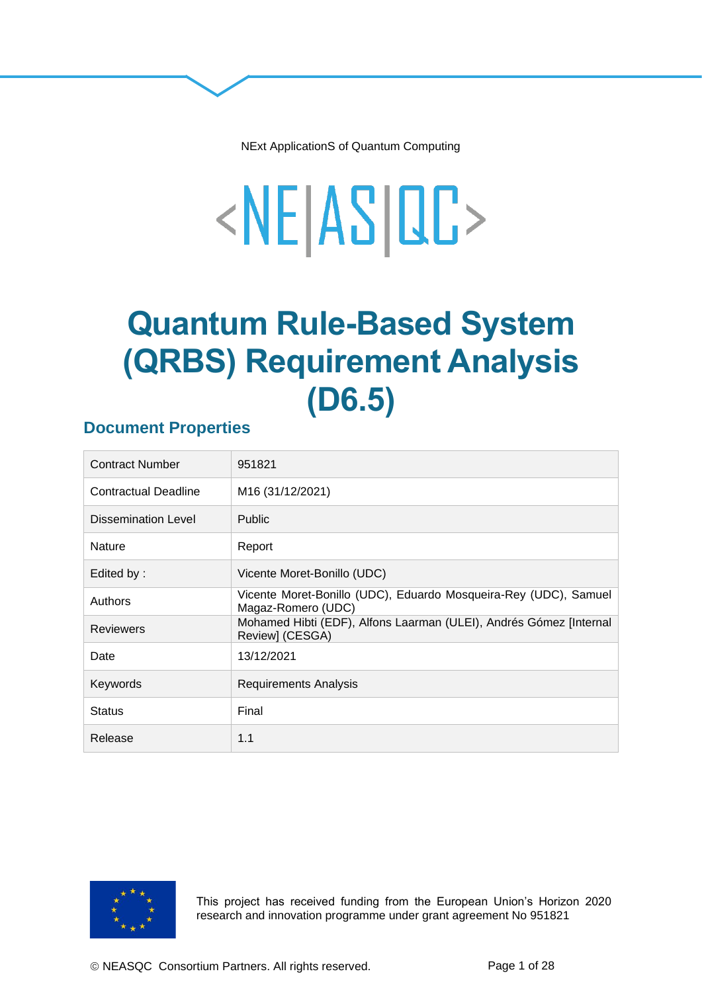NExt ApplicationS of Quantum Computing

# <NE|AS|QC>

## **Quantum Rule-Based System (QRBS) Requirement Analysis (D6.5)**

#### **Document Properties**

| <b>Contract Number</b>      | 951821                                                                                 |
|-----------------------------|----------------------------------------------------------------------------------------|
| <b>Contractual Deadline</b> | M16 (31/12/2021)                                                                       |
| Dissemination Level         | <b>Public</b>                                                                          |
| <b>Nature</b>               | Report                                                                                 |
| Edited by:                  | Vicente Moret-Bonillo (UDC)                                                            |
| Authors                     | Vicente Moret-Bonillo (UDC), Eduardo Mosqueira-Rey (UDC), Samuel<br>Magaz-Romero (UDC) |
| <b>Reviewers</b>            | Mohamed Hibti (EDF), Alfons Laarman (ULEI), Andrés Gómez [Internal<br>Review] (CESGA)  |
| Date                        | 13/12/2021                                                                             |
| Keywords                    | <b>Requirements Analysis</b>                                                           |
| <b>Status</b>               | Final                                                                                  |
| Release                     | 1.1                                                                                    |



This project has received funding from the European Union's Horizon 2020 research and innovation programme under grant agreement No 951821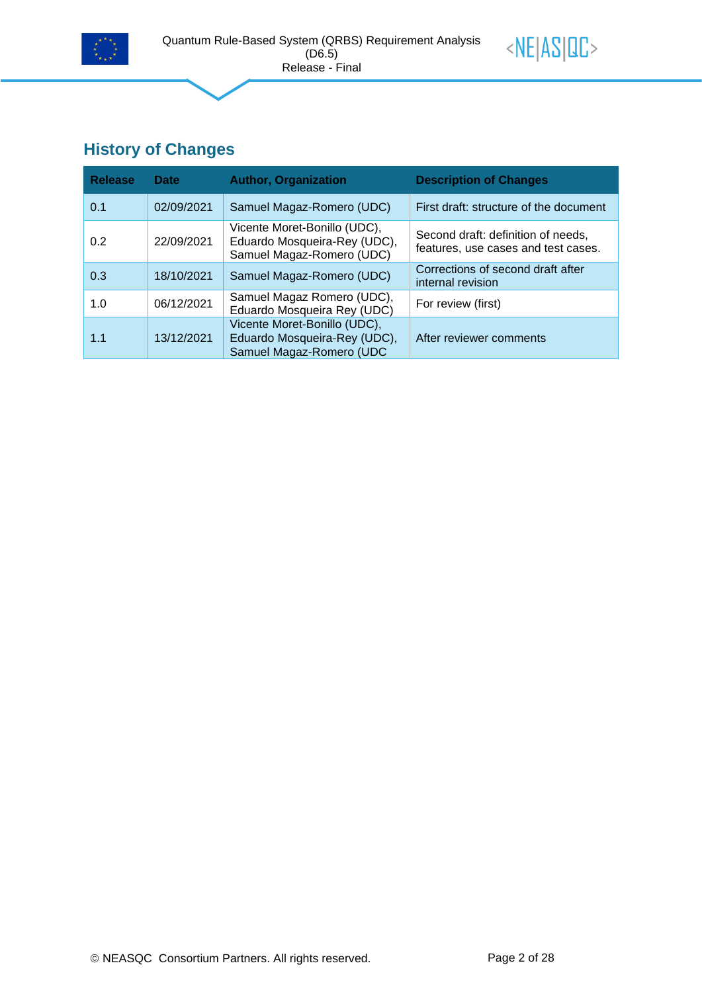



## **History of Changes**

| <b>Release</b> | <b>Date</b> | <b>Author, Organization</b>                                                               | <b>Description of Changes</b>                                             |
|----------------|-------------|-------------------------------------------------------------------------------------------|---------------------------------------------------------------------------|
| 0.1            | 02/09/2021  | Samuel Magaz-Romero (UDC)                                                                 | First draft: structure of the document                                    |
| 0.2            | 22/09/2021  | Vicente Moret-Bonillo (UDC),<br>Eduardo Mosqueira-Rey (UDC),<br>Samuel Magaz-Romero (UDC) | Second draft: definition of needs,<br>features, use cases and test cases. |
| 0.3            | 18/10/2021  | Samuel Magaz-Romero (UDC)                                                                 | Corrections of second draft after<br>internal revision                    |
| 1.0            | 06/12/2021  | Samuel Magaz Romero (UDC),<br>Eduardo Mosqueira Rey (UDC)                                 | For review (first)                                                        |
| 1.1            | 13/12/2021  | Vicente Moret-Bonillo (UDC),<br>Eduardo Mosqueira-Rey (UDC),<br>Samuel Magaz-Romero (UDC  | After reviewer comments                                                   |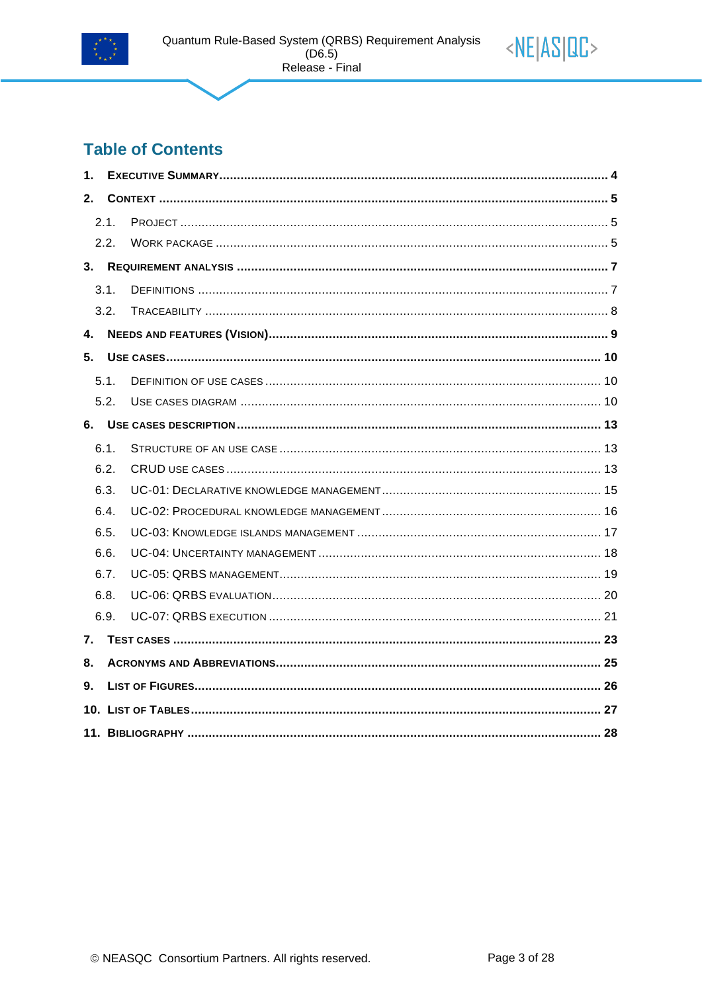



| 1.   |      |  |
|------|------|--|
| $2-$ |      |  |
|      | 2.1. |  |
|      | 2.2. |  |
|      |      |  |
|      | 3.1. |  |
|      | 3.2. |  |
| 4.   |      |  |
| 5.   |      |  |
|      | 5.1. |  |
|      | 5.2. |  |
|      |      |  |
|      | 6.1. |  |
|      | 6.2. |  |
|      | 6.3. |  |
|      | 6.4. |  |
|      | 6.5. |  |
|      | 6.6. |  |
|      | 6.7. |  |
|      | 6.8. |  |
|      | 6.9. |  |
| 7.   |      |  |
| 8.   |      |  |
| 9.   |      |  |
|      |      |  |
|      |      |  |

<NE|AS|QC>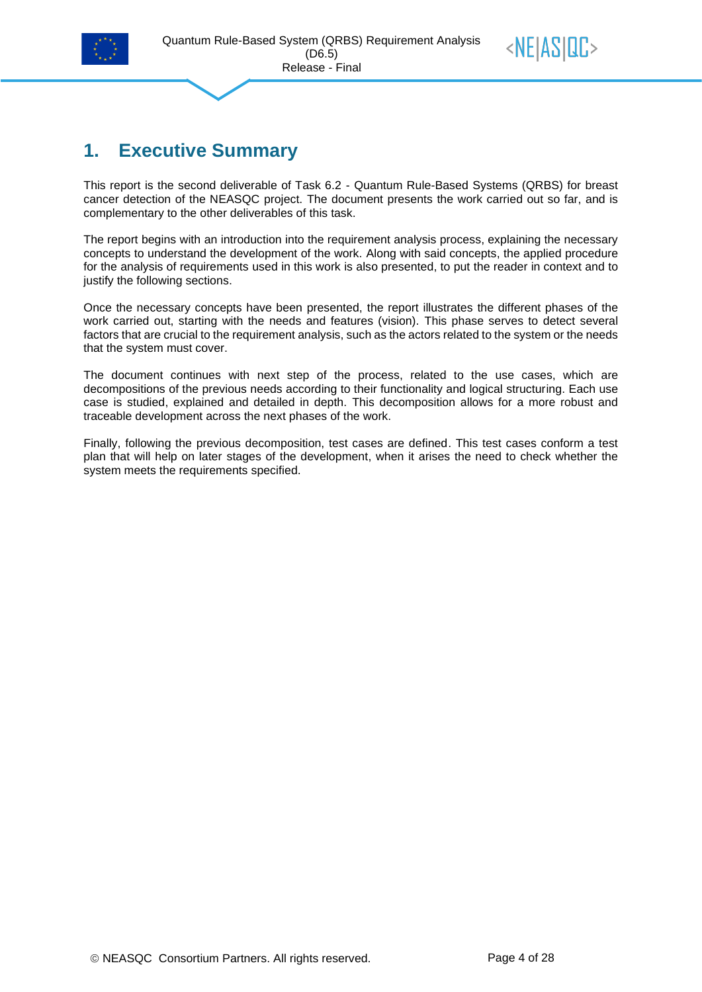



## <span id="page-3-0"></span>**1. Executive Summary**

This report is the second deliverable of Task 6.2 - Quantum Rule-Based Systems (QRBS) for breast cancer detection of the NEASQC project. The document presents the work carried out so far, and is complementary to the other deliverables of this task.

The report begins with an introduction into the requirement analysis process, explaining the necessary concepts to understand the development of the work. Along with said concepts, the applied procedure for the analysis of requirements used in this work is also presented, to put the reader in context and to justify the following sections.

Once the necessary concepts have been presented, the report illustrates the different phases of the work carried out, starting with the needs and features (vision). This phase serves to detect several factors that are crucial to the requirement analysis, such as the actors related to the system or the needs that the system must cover.

The document continues with next step of the process, related to the use cases, which are decompositions of the previous needs according to their functionality and logical structuring. Each use case is studied, explained and detailed in depth. This decomposition allows for a more robust and traceable development across the next phases of the work.

Finally, following the previous decomposition, test cases are defined. This test cases conform a test plan that will help on later stages of the development, when it arises the need to check whether the system meets the requirements specified.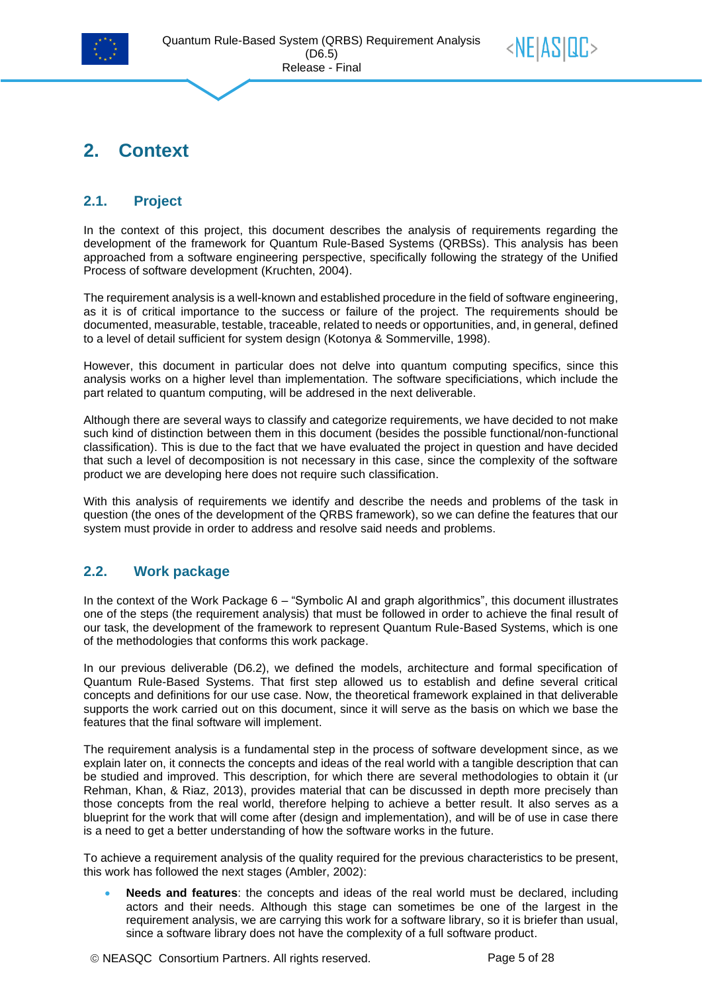



## <span id="page-4-0"></span>**2. Context**

#### <span id="page-4-1"></span>**2.1. Project**

In the context of this project, this document describes the analysis of requirements regarding the development of the framework for Quantum Rule-Based Systems (QRBSs). This analysis has been approached from a software engineering perspective, specifically following the strategy of the Unified Process of software development (Kruchten, 2004).

The requirement analysis is a well-known and established procedure in the field of software engineering, as it is of critical importance to the success or failure of the project. The requirements should be documented, measurable, testable, traceable, related to needs or opportunities, and, in general, defined to a level of detail sufficient for system design (Kotonya & Sommerville, 1998).

However, this document in particular does not delve into quantum computing specifics, since this analysis works on a higher level than implementation. The software specificiations, which include the part related to quantum computing, will be addresed in the next deliverable.

Although there are several ways to classify and categorize requirements, we have decided to not make such kind of distinction between them in this document (besides the possible functional/non-functional classification). This is due to the fact that we have evaluated the project in question and have decided that such a level of decomposition is not necessary in this case, since the complexity of the software product we are developing here does not require such classification.

With this analysis of requirements we identify and describe the needs and problems of the task in question (the ones of the development of the QRBS framework), so we can define the features that our system must provide in order to address and resolve said needs and problems.

#### <span id="page-4-2"></span>**2.2. Work package**

In the context of the Work Package 6 – "Symbolic AI and graph algorithmics", this document illustrates one of the steps (the requirement analysis) that must be followed in order to achieve the final result of our task, the development of the framework to represent Quantum Rule-Based Systems, which is one of the methodologies that conforms this work package.

In our previous deliverable (D6.2), we defined the models, architecture and formal specification of Quantum Rule-Based Systems. That first step allowed us to establish and define several critical concepts and definitions for our use case. Now, the theoretical framework explained in that deliverable supports the work carried out on this document, since it will serve as the basis on which we base the features that the final software will implement.

The requirement analysis is a fundamental step in the process of software development since, as we explain later on, it connects the concepts and ideas of the real world with a tangible description that can be studied and improved. This description, for which there are several methodologies to obtain it (ur Rehman, Khan, & Riaz, 2013), provides material that can be discussed in depth more precisely than those concepts from the real world, therefore helping to achieve a better result. It also serves as a blueprint for the work that will come after (design and implementation), and will be of use in case there is a need to get a better understanding of how the software works in the future.

To achieve a requirement analysis of the quality required for the previous characteristics to be present, this work has followed the next stages (Ambler, 2002):

• **Needs and features**: the concepts and ideas of the real world must be declared, including actors and their needs. Although this stage can sometimes be one of the largest in the requirement analysis, we are carrying this work for a software library, so it is briefer than usual, since a software library does not have the complexity of a full software product.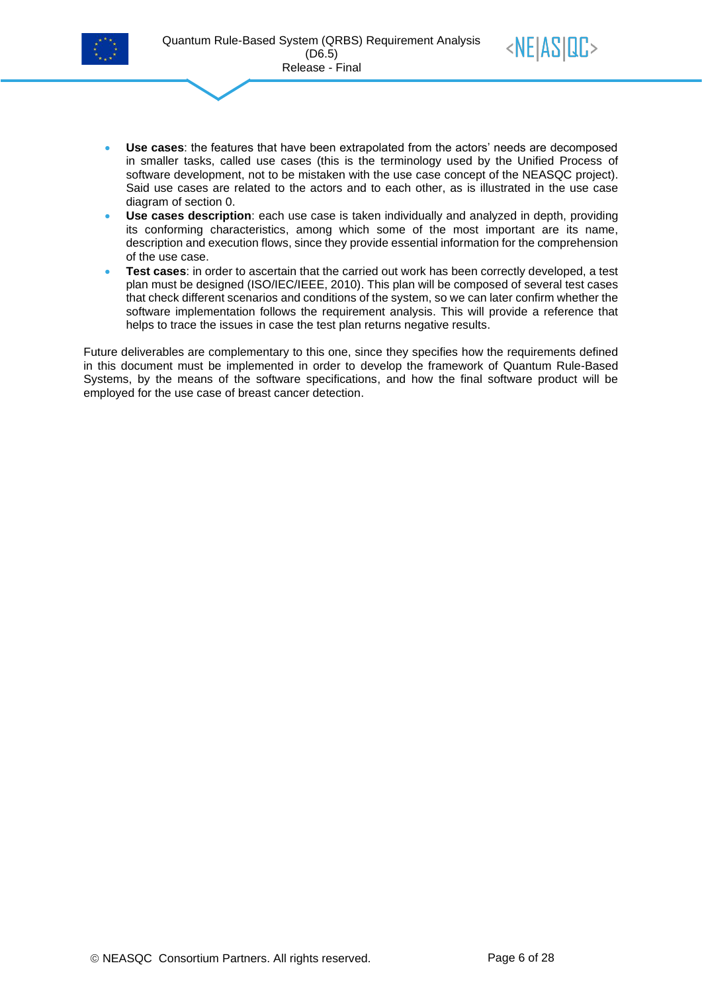



- **Use cases**: the features that have been extrapolated from the actors' needs are decomposed in smaller tasks, called use cases (this is the terminology used by the Unified Process of software development, not to be mistaken with the use case concept of the NEASQC project). Said use cases are related to the actors and to each other, as is illustrated in the use case diagram of section [0.](#page-9-3)
- **Use cases description**: each use case is taken individually and analyzed in depth, providing its conforming characteristics, among which some of the most important are its name, description and execution flows, since they provide essential information for the comprehension of the use case.
- **Test cases**: in order to ascertain that the carried out work has been correctly developed, a test plan must be designed (ISO/IEC/IEEE, 2010). This plan will be composed of several test cases that check different scenarios and conditions of the system, so we can later confirm whether the software implementation follows the requirement analysis. This will provide a reference that helps to trace the issues in case the test plan returns negative results.

Future deliverables are complementary to this one, since they specifies how the requirements defined in this document must be implemented in order to develop the framework of Quantum Rule-Based Systems, by the means of the software specifications, and how the final software product will be employed for the use case of breast cancer detection.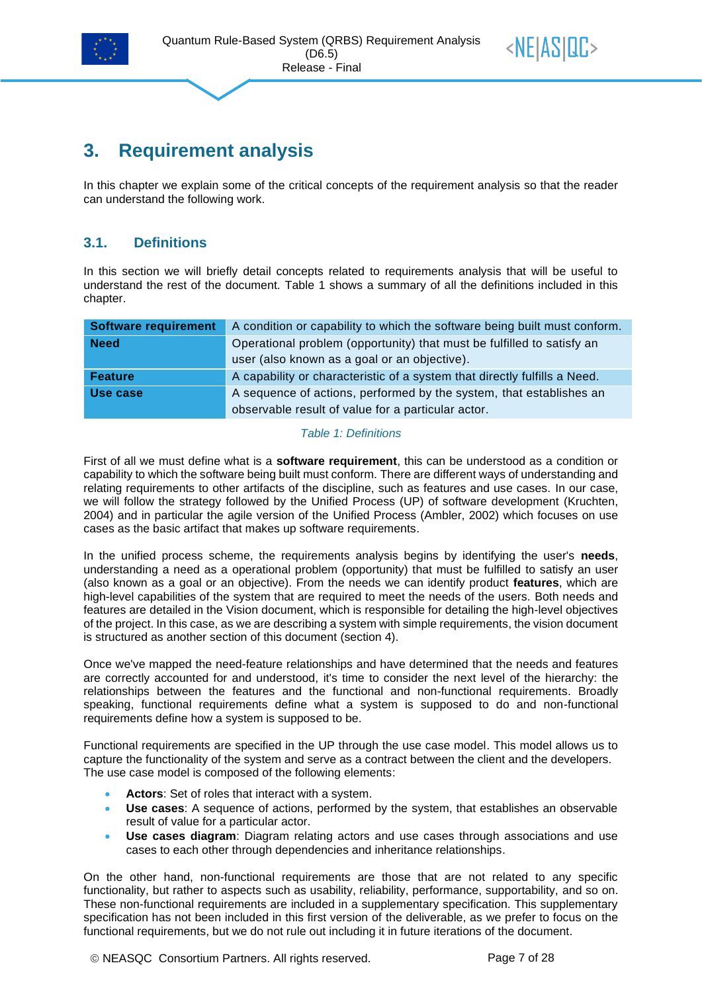



## <span id="page-6-0"></span>**3. Requirement analysis**

<span id="page-6-1"></span>In this chapter we explain some of the critical concepts of the requirement analysis so that the reader can understand the following work.

#### **3.1. Definitions**

In this section we will briefly detail concepts related to requirements analysis that will be useful to understand the rest of the document. [Table 1](#page-6-2) shows a summary of all the definitions included in this chapter.

| <b>Software requirement</b> | A condition or capability to which the software being built must conform. |  |  |
|-----------------------------|---------------------------------------------------------------------------|--|--|
| <b>Need</b>                 | Operational problem (opportunity) that must be fulfilled to satisfy an    |  |  |
|                             | user (also known as a goal or an objective).                              |  |  |
| <b>Feature</b>              | A capability or characteristic of a system that directly fulfills a Need. |  |  |
| Use case                    | A sequence of actions, performed by the system, that establishes an       |  |  |
|                             | observable result of value for a particular actor.                        |  |  |

#### *Table 1: Definitions*

<span id="page-6-2"></span>First of all we must define what is a **software requirement**, this can be understood as a condition or capability to which the software being built must conform. There are different ways of understanding and relating requirements to other artifacts of the discipline, such as features and use cases. In our case, we will follow the strategy followed by the Unified Process (UP) of software development (Kruchten, 2004) and in particular the agile version of the Unified Process (Ambler, 2002) which focuses on use cases as the basic artifact that makes up software requirements.

In the unified process scheme, the requirements analysis begins by identifying the user's **needs**, understanding a need as a operational problem (opportunity) that must be fulfilled to satisfy an user (also known as a goal or an objective). From the needs we can identify product **features**, which are high-level capabilities of the system that are required to meet the needs of the users. Both needs and features are detailed in the Vision document, which is responsible for detailing the high-level objectives of the project. In this case, as we are describing a system with simple requirements, the vision document is structured as another section of this document (section [4\)](#page-8-0).

Once we've mapped the need-feature relationships and have determined that the needs and features are correctly accounted for and understood, it's time to consider the next level of the hierarchy: the relationships between the features and the functional and non-functional requirements. Broadly speaking, functional requirements define what a system is supposed to do and non-functional requirements define how a system is supposed to be.

Functional requirements are specified in the UP through the use case model. This model allows us to capture the functionality of the system and serve as a contract between the client and the developers. The use case model is composed of the following elements:

- **Actors**: Set of roles that interact with a system.
- **Use cases**: A sequence of actions, performed by the system, that establishes an observable result of value for a particular actor.
- **Use cases diagram**: Diagram relating actors and use cases through associations and use cases to each other through dependencies and inheritance relationships.

On the other hand, non-functional requirements are those that are not related to any specific functionality, but rather to aspects such as usability, reliability, performance, supportability, and so on. These non-functional requirements are included in a supplementary specification. This supplementary specification has not been included in this first version of the deliverable, as we prefer to focus on the functional requirements, but we do not rule out including it in future iterations of the document.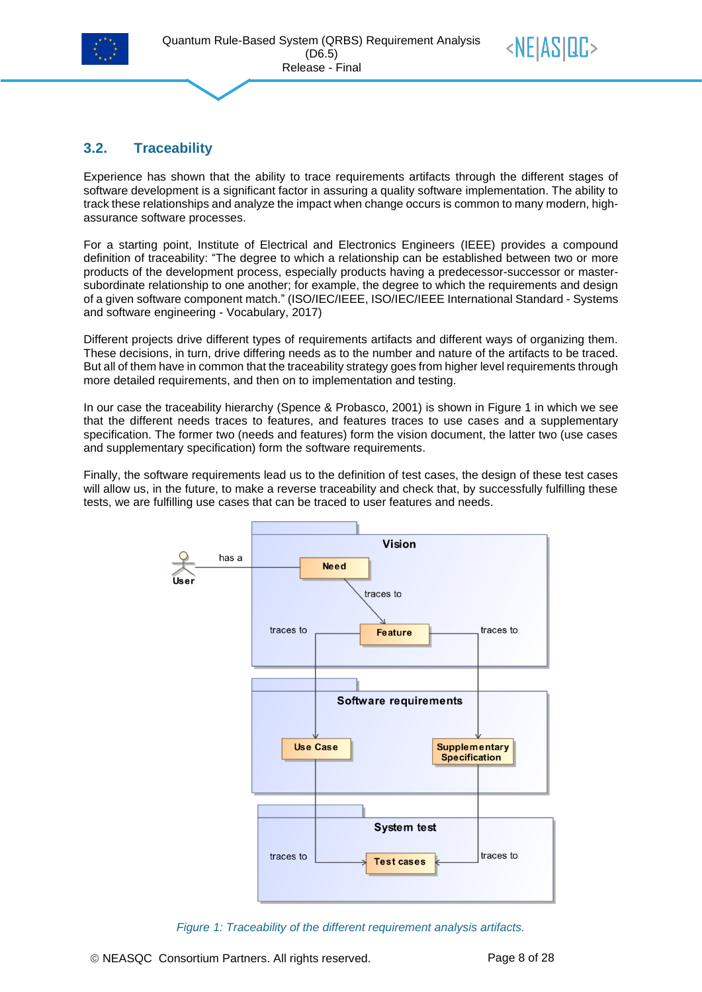



#### <span id="page-7-0"></span>**3.2. Traceability**

Experience has shown that the ability to trace requirements artifacts through the different stages of software development is a significant factor in assuring a quality software implementation. The ability to track these relationships and analyze the impact when change occurs is common to many modern, highassurance software processes.

For a starting point, Institute of Electrical and Electronics Engineers (IEEE) provides a compound definition of traceability: "The degree to which a relationship can be established between two or more products of the development process, especially products having a predecessor-successor or mastersubordinate relationship to one another; for example, the degree to which the requirements and design of a given software component match." (ISO/IEC/IEEE, ISO/IEC/IEEE International Standard - Systems and software engineering - Vocabulary, 2017)

Different projects drive different types of requirements artifacts and different ways of organizing them. These decisions, in turn, drive differing needs as to the number and nature of the artifacts to be traced. But all of them have in common that the traceability strategy goes from higher level requirements through more detailed requirements, and then on to implementation and testing.

In our case the traceability hierarchy (Spence & Probasco, 2001) is shown in [Figure 1](#page-7-1) in which we see that the different needs traces to features, and features traces to use cases and a supplementary specification. The former two (needs and features) form the vision document, the latter two (use cases and supplementary specification) form the software requirements.

Finally, the software requirements lead us to the definition of test cases, the design of these test cases will allow us, in the future, to make a reverse traceability and check that, by successfully fulfilling these tests, we are fulfilling use cases that can be traced to user features and needs.



<span id="page-7-1"></span>*Figure 1: Traceability of the different requirement analysis artifacts.*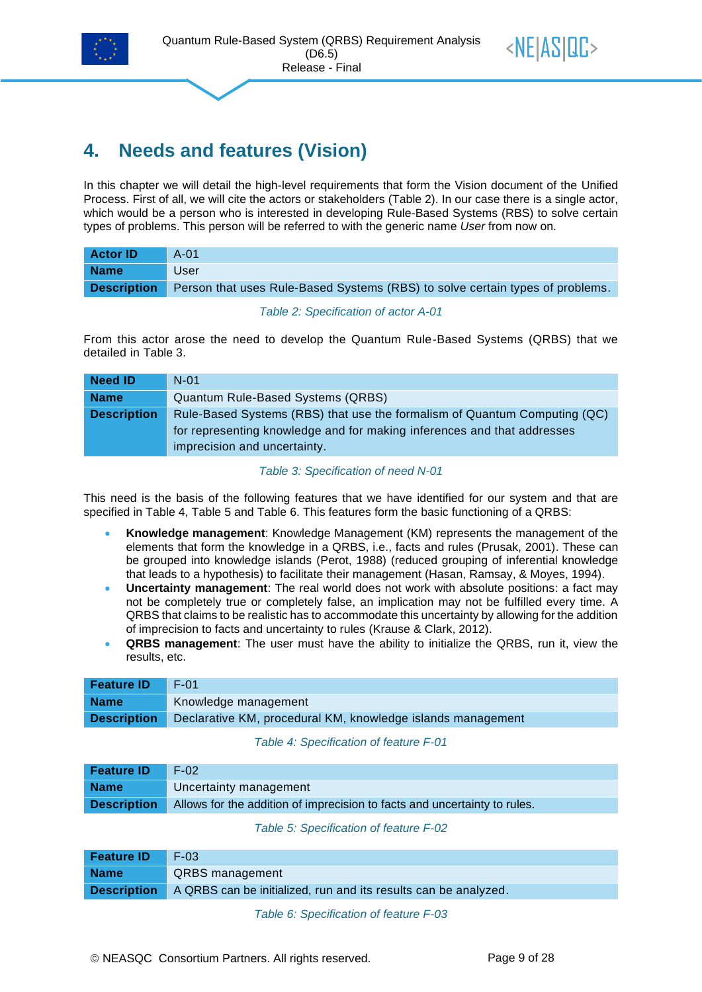



## <span id="page-8-0"></span>**4. Needs and features (Vision)**

In this chapter we will detail the high-level requirements that form the Vision document of the Unified Process. First of all, we will cite the actors or stakeholders [\(Table 2\)](#page-8-1). In our case there is a single actor, which would be a person who is interested in developing Rule-Based Systems (RBS) to solve certain types of problems. This person will be referred to with the generic name *User* from now on.

| <b>Actor ID</b>    | $A-01$                                                                        |
|--------------------|-------------------------------------------------------------------------------|
| <b>Name</b>        | User                                                                          |
| <b>Description</b> | Person that uses Rule-Based Systems (RBS) to solve certain types of problems. |

*Table 2: Specification of actor A-01*

<span id="page-8-1"></span>From this actor arose the need to develop the Quantum Rule-Based Systems (QRBS) that we detailed in [Table 3.](#page-8-2)

| <b>Need ID</b>     | $N-01$                                                                                                                                                                               |
|--------------------|--------------------------------------------------------------------------------------------------------------------------------------------------------------------------------------|
| <b>Name</b>        | <b>Quantum Rule-Based Systems (QRBS)</b>                                                                                                                                             |
| <b>Description</b> | Rule-Based Systems (RBS) that use the formalism of Quantum Computing (QC)<br>for representing knowledge and for making inferences and that addresses<br>imprecision and uncertainty. |

#### *Table 3: Specification of need N-01*

<span id="page-8-2"></span>This need is the basis of the following features that we have identified for our system and that are specified in [Table 4,](#page-8-3) [Table 5](#page-8-4) and [Table 6.](#page-8-5) This features form the basic functioning of a QRBS:

- **Knowledge management**: Knowledge Management (KM) represents the management of the elements that form the knowledge in a QRBS, i.e., facts and rules (Prusak, 2001). These can be grouped into knowledge islands (Perot, 1988) (reduced grouping of inferential knowledge that leads to a hypothesis) to facilitate their management (Hasan, Ramsay, & Moyes, 1994).
- **Uncertainty management**: The real world does not work with absolute positions: a fact may not be completely true or completely false, an implication may not be fulfilled every time. A QRBS that claims to be realistic has to accommodate this uncertainty by allowing for the addition of imprecision to facts and uncertainty to rules (Krause & Clark, 2012).
- **QRBS management**: The user must have the ability to initialize the QRBS, run it, view the results, etc.

| <b>Feature ID</b>  | F-01                                                        |
|--------------------|-------------------------------------------------------------|
| <b>Name</b>        | Knowledge management                                        |
| <b>Description</b> | Declarative KM, procedural KM, knowledge islands management |

*Table 4: Specification of feature F-01*

<span id="page-8-3"></span>

| <b>Feature ID</b> | $F-02$                                                                                       |
|-------------------|----------------------------------------------------------------------------------------------|
| <b>Name</b>       | Uncertainty management                                                                       |
|                   | <b>Description</b> Allows for the addition of imprecision to facts and uncertainty to rules. |

#### *Table 5: Specification of feature F-02*

<span id="page-8-5"></span><span id="page-8-4"></span>

| <b>Feature ID</b> | $\blacksquare$ F-03                                                                |
|-------------------|------------------------------------------------------------------------------------|
| <b>Name</b>       | <b>QRBS</b> management                                                             |
|                   | <b>Description</b> A QRBS can be initialized, run and its results can be analyzed. |

*Table 6: Specification of feature F-03*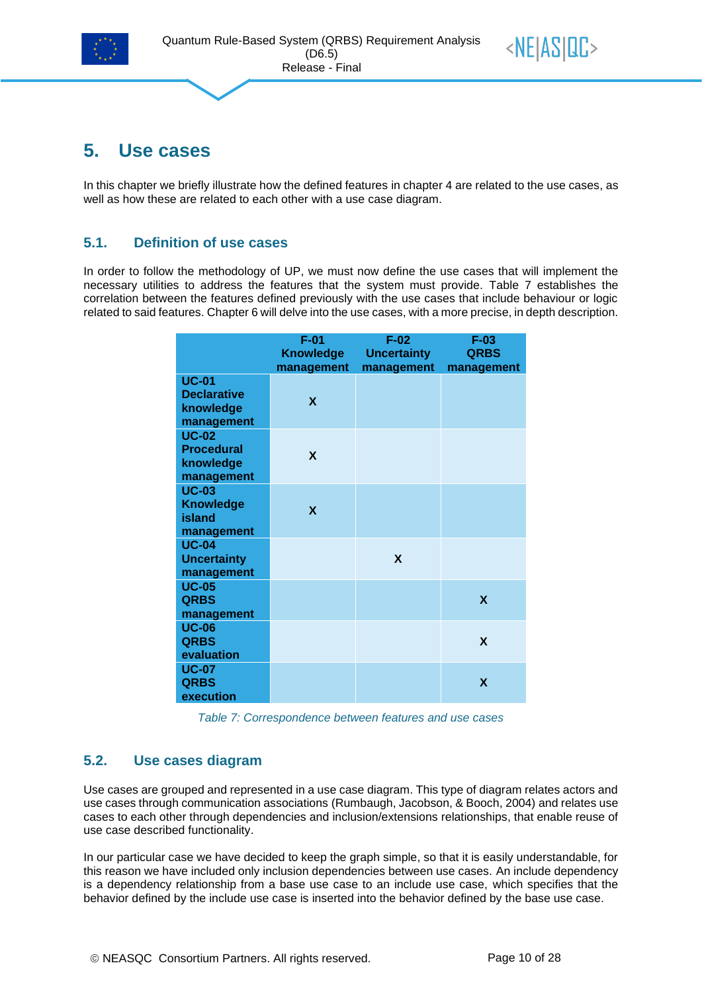



## <span id="page-9-0"></span>**5. Use cases**

<span id="page-9-1"></span>In this chapter we briefly illustrate how the defined features in chapter [4](#page-8-0) are related to the use cases, as well as how these are related to each other with a use case diagram.

#### **5.1. Definition of use cases**

In order to follow the methodology of UP, we must now define the use cases that will implement the necessary utilities to address the features that the system must provide. [Table 7](#page-9-3) establishes the correlation between the features defined previously with the use cases that include behaviour or logic related to said features. Chapte[r 6](#page-12-0) will delve into the use cases, with a more precise, in depth description.

|                                                               | $F-01$<br><b>Knowledge</b><br>management | $F-02$<br><b>Uncertainty</b><br>management | $F-03$<br><b>QRBS</b><br>management |
|---------------------------------------------------------------|------------------------------------------|--------------------------------------------|-------------------------------------|
| <b>UC-01</b><br><b>Declarative</b><br>knowledge<br>management | $\boldsymbol{\mathsf{x}}$                |                                            |                                     |
| <b>UC-02</b><br><b>Procedural</b><br>knowledge<br>management  | X                                        |                                            |                                     |
| <b>UC-03</b><br><b>Knowledge</b><br>island<br>management      | $\boldsymbol{\mathsf{x}}$                |                                            |                                     |
| <b>UC-04</b><br><b>Uncertainty</b><br>management              |                                          | X                                          |                                     |
| <b>UC-05</b><br><b>QRBS</b><br>management                     |                                          |                                            | X                                   |
| <b>UC-06</b><br><b>QRBS</b><br>evaluation                     |                                          |                                            | X                                   |
| <b>UC-07</b><br><b>QRBS</b><br>execution                      |                                          |                                            | X                                   |

*Table 7: Correspondence between features and use cases*

#### <span id="page-9-3"></span><span id="page-9-2"></span>**5.2. Use cases diagram**

Use cases are grouped and represented in a use case diagram. This type of diagram relates actors and use cases through communication associations (Rumbaugh, Jacobson, & Booch, 2004) and relates use cases to each other through dependencies and inclusion/extensions relationships, that enable reuse of use case described functionality.

In our particular case we have decided to keep the graph simple, so that it is easily understandable, for this reason we have included only inclusion dependencies between use cases. An include dependency is a dependency relationship from a base use case to an include use case, which specifies that the behavior defined by the include use case is inserted into the behavior defined by the base use case.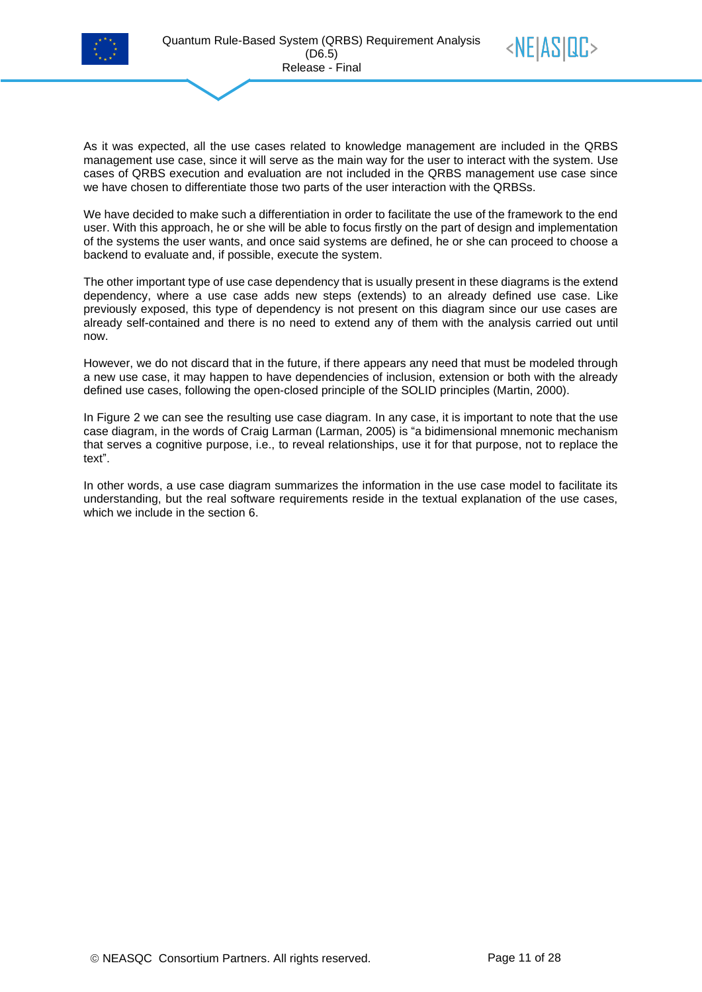



As it was expected, all the use cases related to knowledge management are included in the QRBS management use case, since it will serve as the main way for the user to interact with the system. Use cases of QRBS execution and evaluation are not included in the QRBS management use case since we have chosen to differentiate those two parts of the user interaction with the QRBSs.

We have decided to make such a differentiation in order to facilitate the use of the framework to the end user. With this approach, he or she will be able to focus firstly on the part of design and implementation of the systems the user wants, and once said systems are defined, he or she can proceed to choose a backend to evaluate and, if possible, execute the system.

The other important type of use case dependency that is usually present in these diagrams is the extend dependency, where a use case adds new steps (extends) to an already defined use case. Like previously exposed, this type of dependency is not present on this diagram since our use cases are already self-contained and there is no need to extend any of them with the analysis carried out until now.

However, we do not discard that in the future, if there appears any need that must be modeled through a new use case, it may happen to have dependencies of inclusion, extension or both with the already defined use cases, following the open-closed principle of the SOLID principles (Martin, 2000).

In [Figure 2](#page-11-0) we can see the resulting use case diagram. In any case, it is important to note that the use case diagram, in the words of Craig Larman (Larman, 2005) is "a bidimensional mnemonic mechanism that serves a cognitive purpose, i.e., to reveal relationships, use it for that purpose, not to replace the text".

In other words, a use case diagram summarizes the information in the use case model to facilitate its understanding, but the real software requirements reside in the textual explanation of the use cases, which we include in the section [6.](#page-12-0)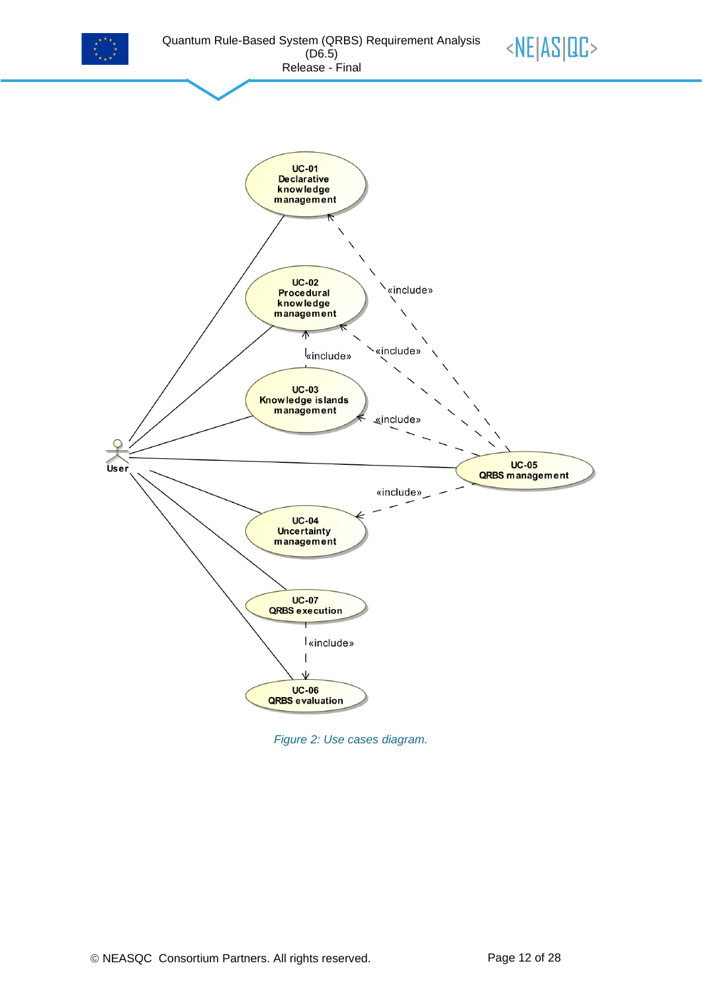





<span id="page-11-0"></span>*Figure 2: Use cases diagram.*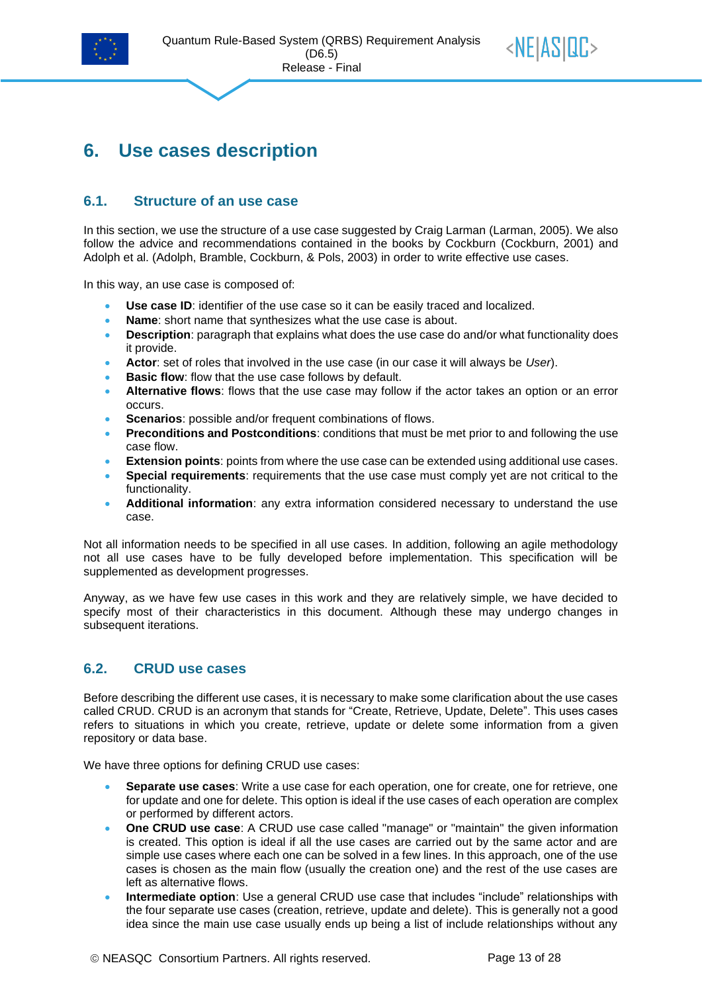![](_page_12_Picture_0.jpeg)

![](_page_12_Picture_2.jpeg)

## <span id="page-12-0"></span>**6. Use cases description**

#### <span id="page-12-1"></span>**6.1. Structure of an use case**

In this section, we use the structure of a use case suggested by Craig Larman (Larman, 2005). We also follow the advice and recommendations contained in the books by Cockburn (Cockburn, 2001) and Adolph et al. (Adolph, Bramble, Cockburn, & Pols, 2003) in order to write effective use cases.

In this way, an use case is composed of:

- Use case ID: identifier of the use case so it can be easily traced and localized.
- **Name**: short name that synthesizes what the use case is about.
- **Description**: paragraph that explains what does the use case do and/or what functionality does it provide.
- **Actor**: set of roles that involved in the use case (in our case it will always be *User*).
- **Basic flow:** flow that the use case follows by default.
- **Alternative flows**: flows that the use case may follow if the actor takes an option or an error occurs.
- **Scenarios**: possible and/or frequent combinations of flows.
- **Preconditions and Postconditions**: conditions that must be met prior to and following the use case flow.
- **Extension points**: points from where the use case can be extended using additional use cases.
- **Special requirements**: requirements that the use case must comply yet are not critical to the functionality.
- **Additional information**: any extra information considered necessary to understand the use case.

Not all information needs to be specified in all use cases. In addition, following an agile methodology not all use cases have to be fully developed before implementation. This specification will be supplemented as development progresses.

Anyway, as we have few use cases in this work and they are relatively simple, we have decided to specify most of their characteristics in this document. Although these may undergo changes in subsequent iterations.

#### <span id="page-12-2"></span>**6.2. CRUD use cases**

Before describing the different use cases, it is necessary to make some clarification about the use cases called CRUD. CRUD is an acronym that stands for "Create, Retrieve, Update, Delete". This uses cases refers to situations in which you create, retrieve, update or delete some information from a given repository or data base.

We have three options for defining CRUD use cases:

- **Separate use cases**: Write a use case for each operation, one for create, one for retrieve, one for update and one for delete. This option is ideal if the use cases of each operation are complex or performed by different actors.
- **One CRUD use case**: A CRUD use case called "manage" or "maintain" the given information is created. This option is ideal if all the use cases are carried out by the same actor and are simple use cases where each one can be solved in a few lines. In this approach, one of the use cases is chosen as the main flow (usually the creation one) and the rest of the use cases are left as alternative flows.
- **Intermediate option**: Use a general CRUD use case that includes "include" relationships with the four separate use cases (creation, retrieve, update and delete). This is generally not a good idea since the main use case usually ends up being a list of include relationships without any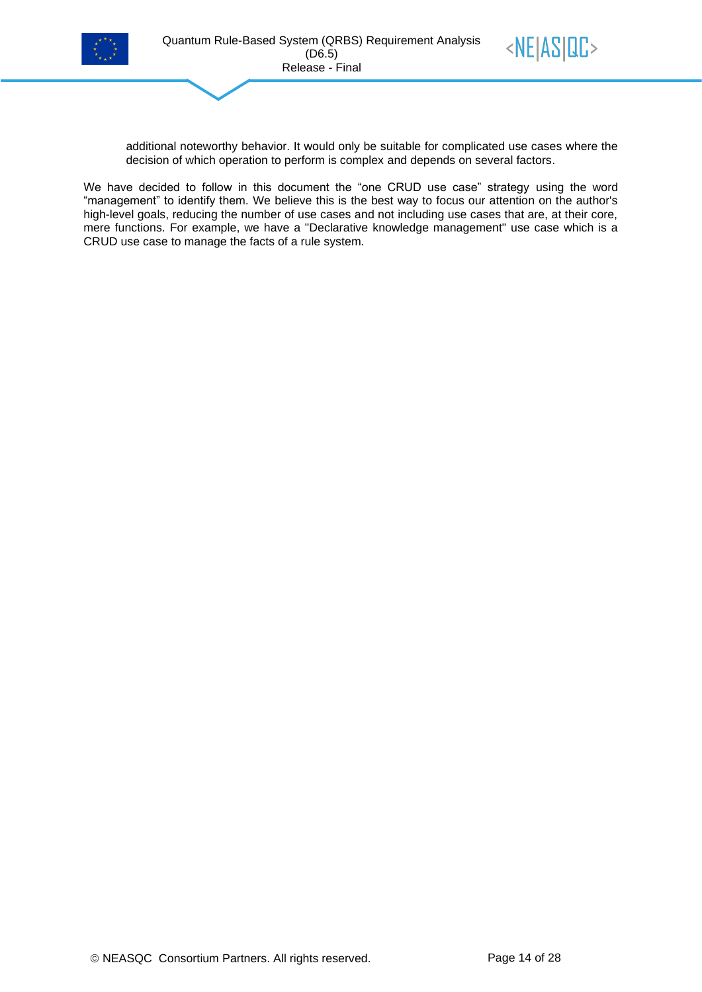![](_page_13_Picture_0.jpeg)

![](_page_13_Picture_2.jpeg)

additional noteworthy behavior. It would only be suitable for complicated use cases where the decision of which operation to perform is complex and depends on several factors.

We have decided to follow in this document the "one CRUD use case" strategy using the word "management" to identify them. We believe this is the best way to focus our attention on the author's high-level goals, reducing the number of use cases and not including use cases that are, at their core, mere functions. For example, we have a "Declarative knowledge management" use case which is a CRUD use case to manage the facts of a rule system.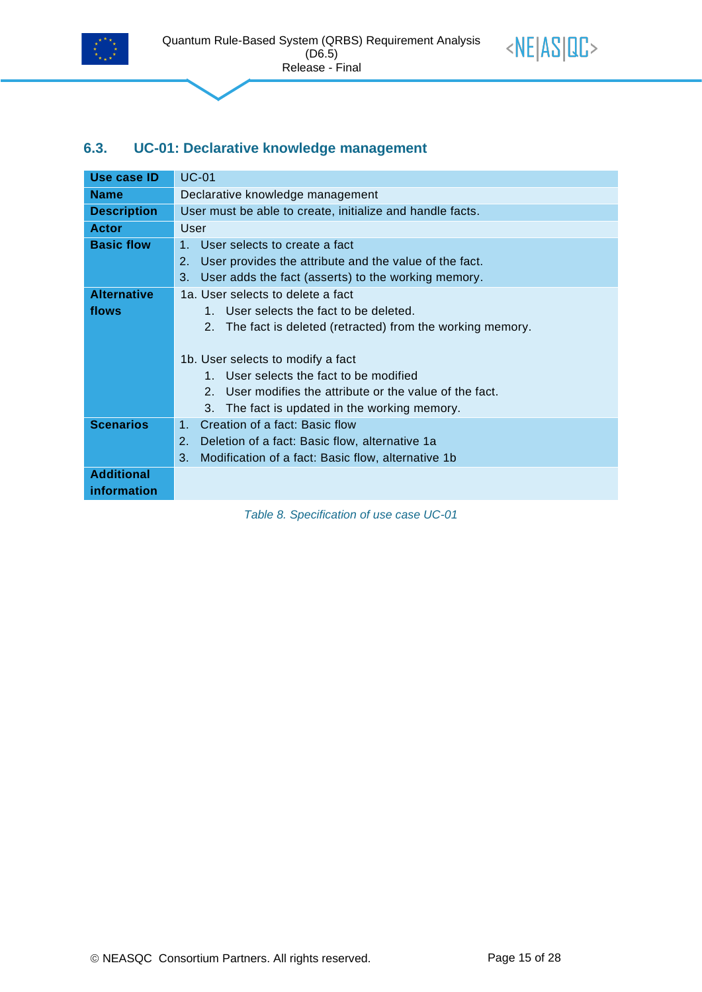![](_page_14_Picture_0.jpeg)

![](_page_14_Picture_2.jpeg)

#### <span id="page-14-0"></span>**6.3. UC-01: Declarative knowledge management**

| Use case ID                      | <b>UC-01</b>                                                                                                                                                                                                                                                |
|----------------------------------|-------------------------------------------------------------------------------------------------------------------------------------------------------------------------------------------------------------------------------------------------------------|
| <b>Name</b>                      | Declarative knowledge management                                                                                                                                                                                                                            |
| <b>Description</b>               | User must be able to create, initialize and handle facts.                                                                                                                                                                                                   |
| <b>Actor</b>                     | User                                                                                                                                                                                                                                                        |
| <b>Basic flow</b>                | User selects to create a fact<br>$1 -$<br>User provides the attribute and the value of the fact.<br>2.<br>3.<br>User adds the fact (asserts) to the working memory.                                                                                         |
| <b>Alternative</b>               | 1a. User selects to delete a fact                                                                                                                                                                                                                           |
| flows                            | 1. User selects the fact to be deleted.                                                                                                                                                                                                                     |
|                                  | The fact is deleted (retracted) from the working memory.<br>2.<br>1b. User selects to modify a fact<br>1. User selects the fact to be modified<br>2. User modifies the attribute or the value of the fact.<br>3. The fact is updated in the working memory. |
| <b>Scenarios</b>                 | Creation of a fact: Basic flow<br>$1_{-}$                                                                                                                                                                                                                   |
|                                  | 2.<br>Deletion of a fact: Basic flow, alternative 1a                                                                                                                                                                                                        |
|                                  | 3.<br>Modification of a fact: Basic flow, alternative 1b                                                                                                                                                                                                    |
| <b>Additional</b><br>information |                                                                                                                                                                                                                                                             |

<span id="page-14-1"></span>*Table 8. Specification of use case UC-01*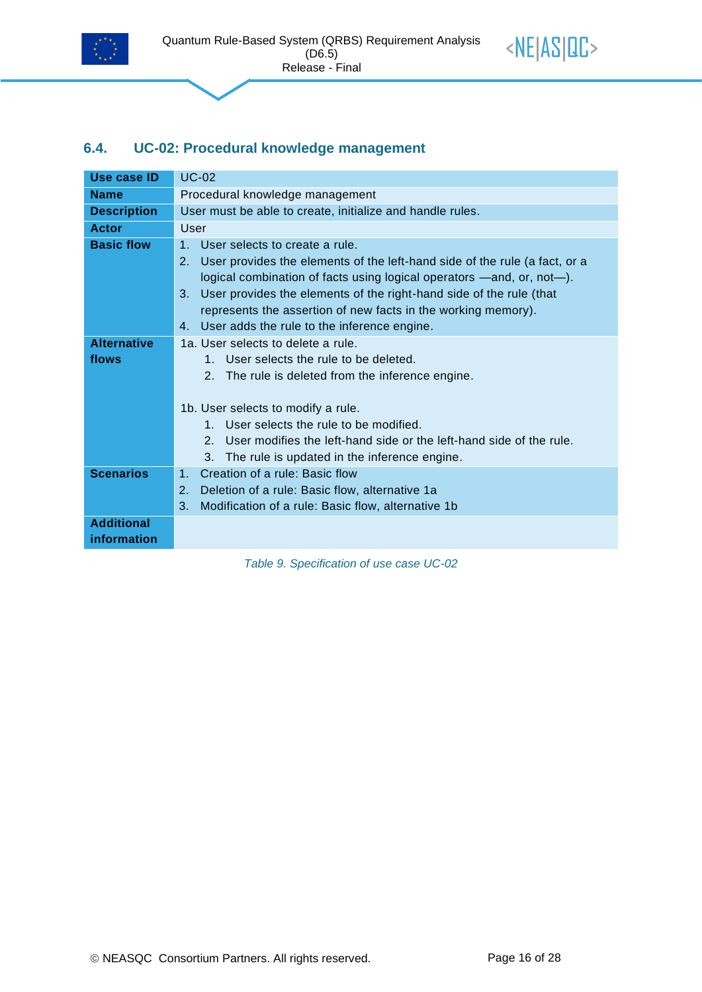![](_page_15_Picture_0.jpeg)

![](_page_15_Picture_2.jpeg)

#### <span id="page-15-0"></span>**6.4. UC-02: Procedural knowledge management**

| <b>Use case ID</b>               | <b>UC-02</b>                                                                                                                                                                                                                                                                                                                                                                                                     |  |
|----------------------------------|------------------------------------------------------------------------------------------------------------------------------------------------------------------------------------------------------------------------------------------------------------------------------------------------------------------------------------------------------------------------------------------------------------------|--|
| <b>Name</b>                      | Procedural knowledge management                                                                                                                                                                                                                                                                                                                                                                                  |  |
| <b>Description</b>               | User must be able to create, initialize and handle rules.                                                                                                                                                                                                                                                                                                                                                        |  |
| <b>Actor</b>                     | User                                                                                                                                                                                                                                                                                                                                                                                                             |  |
| <b>Basic flow</b>                | 1 <sup>1</sup><br>User selects to create a rule.<br>2.<br>User provides the elements of the left-hand side of the rule (a fact, or a<br>logical combination of facts using logical operators —and, or, not—).<br>User provides the elements of the right-hand side of the rule (that<br>3.<br>represents the assertion of new facts in the working memory).<br>User adds the rule to the inference engine.<br>4. |  |
| <b>Alternative</b><br>flows      | 1a. User selects to delete a rule.<br>1. User selects the rule to be deleted.<br>2. The rule is deleted from the inference engine.<br>1b. User selects to modify a rule.<br>1. User selects the rule to be modified.<br>User modifies the left-hand side or the left-hand side of the rule.<br>$\mathcal{P}$<br>3.<br>The rule is updated in the inference engine.                                               |  |
| <b>Scenarios</b>                 | Creation of a rule: Basic flow<br>1 <sub>1</sub><br>2.<br>Deletion of a rule: Basic flow, alternative 1a<br>3.<br>Modification of a rule: Basic flow, alternative 1b                                                                                                                                                                                                                                             |  |
| <b>Additional</b><br>information |                                                                                                                                                                                                                                                                                                                                                                                                                  |  |

<span id="page-15-1"></span>*Table 9. Specification of use case UC-02*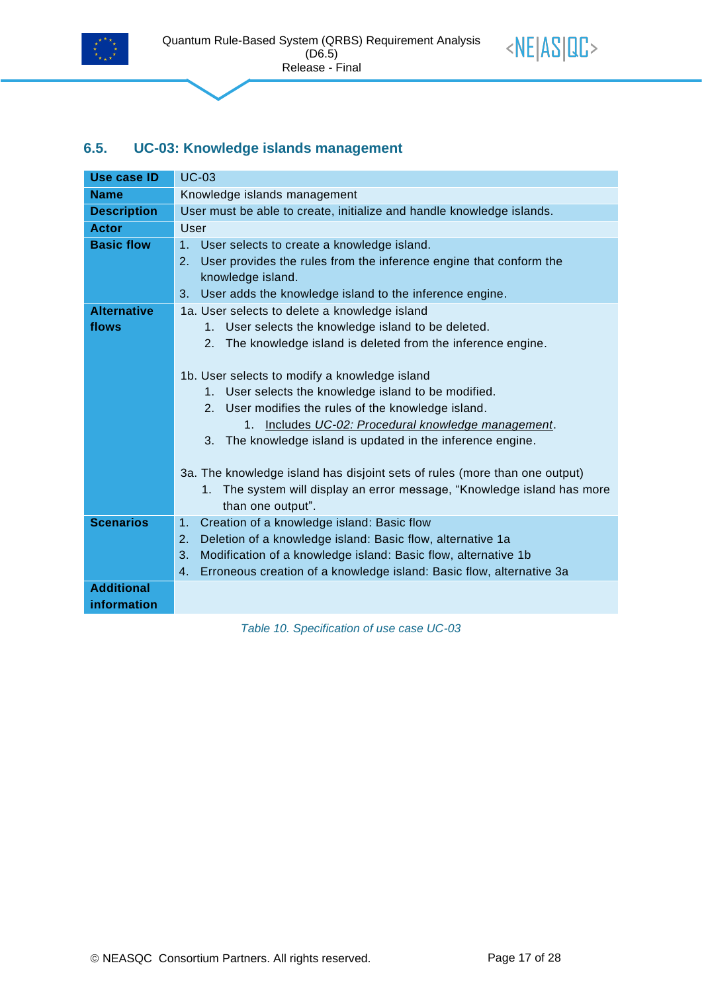![](_page_16_Picture_0.jpeg)

![](_page_16_Picture_2.jpeg)

#### <span id="page-16-0"></span>**6.5. UC-03: Knowledge islands management**

| <b>Use case ID</b> | <b>UC-03</b>                                                               |  |  |  |  |  |
|--------------------|----------------------------------------------------------------------------|--|--|--|--|--|
| <b>Name</b>        | Knowledge islands management                                               |  |  |  |  |  |
| <b>Description</b> | User must be able to create, initialize and handle knowledge islands.      |  |  |  |  |  |
| <b>Actor</b>       | <b>User</b>                                                                |  |  |  |  |  |
| <b>Basic flow</b>  | 1.<br>User selects to create a knowledge island.                           |  |  |  |  |  |
|                    | User provides the rules from the inference engine that conform the<br>2.   |  |  |  |  |  |
|                    | knowledge island.                                                          |  |  |  |  |  |
|                    | User adds the knowledge island to the inference engine.<br>3 <sub>1</sub>  |  |  |  |  |  |
| <b>Alternative</b> | 1a. User selects to delete a knowledge island                              |  |  |  |  |  |
| flows              | User selects the knowledge island to be deleted.<br>1 <sup>1</sup>         |  |  |  |  |  |
|                    | 2. The knowledge island is deleted from the inference engine.              |  |  |  |  |  |
|                    |                                                                            |  |  |  |  |  |
|                    | 1b. User selects to modify a knowledge island                              |  |  |  |  |  |
|                    | 1. User selects the knowledge island to be modified.                       |  |  |  |  |  |
|                    | 2. User modifies the rules of the knowledge island.                        |  |  |  |  |  |
|                    | 1. Includes UC-02: Procedural knowledge management.                        |  |  |  |  |  |
|                    | 3. The knowledge island is updated in the inference engine.                |  |  |  |  |  |
|                    |                                                                            |  |  |  |  |  |
|                    | 3a. The knowledge island has disjoint sets of rules (more than one output) |  |  |  |  |  |
|                    | 1. The system will display an error message, "Knowledge island has more    |  |  |  |  |  |
|                    | than one output".                                                          |  |  |  |  |  |
| <b>Scenarios</b>   | Creation of a knowledge island: Basic flow<br>1.<br>2.                     |  |  |  |  |  |
|                    | Deletion of a knowledge island: Basic flow, alternative 1a                 |  |  |  |  |  |
|                    | 3.<br>Modification of a knowledge island: Basic flow, alternative 1b       |  |  |  |  |  |
|                    | Erroneous creation of a knowledge island: Basic flow, alternative 3a<br>4. |  |  |  |  |  |
| <b>Additional</b>  |                                                                            |  |  |  |  |  |
| information        |                                                                            |  |  |  |  |  |

<span id="page-16-1"></span>*Table 10. Specification of use case UC-03*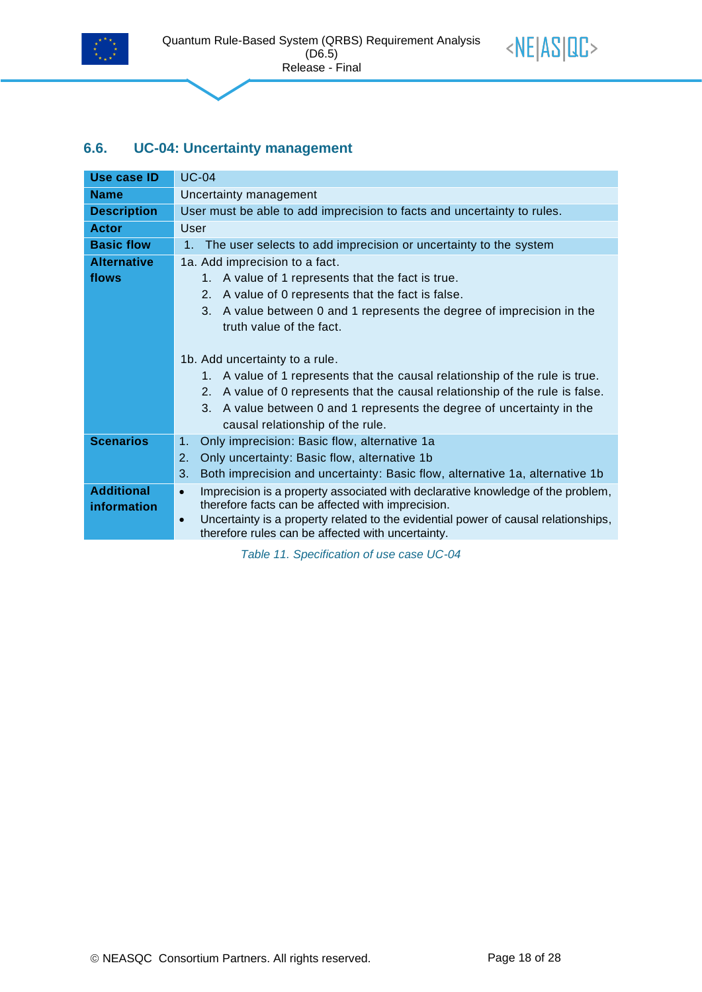![](_page_17_Picture_0.jpeg)

![](_page_17_Picture_2.jpeg)

#### <span id="page-17-0"></span>**6.6. UC-04: Uncertainty management**

| Use case ID        | <b>UC-04</b>                                                                                                                                         |  |  |  |  |
|--------------------|------------------------------------------------------------------------------------------------------------------------------------------------------|--|--|--|--|
| <b>Name</b>        | Uncertainty management                                                                                                                               |  |  |  |  |
| <b>Description</b> | User must be able to add imprecision to facts and uncertainty to rules.                                                                              |  |  |  |  |
| <b>Actor</b>       | User                                                                                                                                                 |  |  |  |  |
| <b>Basic flow</b>  | The user selects to add imprecision or uncertainty to the system<br>1 <sub>1</sub>                                                                   |  |  |  |  |
| <b>Alternative</b> | 1a. Add imprecision to a fact.                                                                                                                       |  |  |  |  |
| flows              | 1. A value of 1 represents that the fact is true.                                                                                                    |  |  |  |  |
|                    | A value of 0 represents that the fact is false.<br>2.                                                                                                |  |  |  |  |
|                    | 3. A value between 0 and 1 represents the degree of imprecision in the                                                                               |  |  |  |  |
|                    | truth value of the fact.                                                                                                                             |  |  |  |  |
|                    |                                                                                                                                                      |  |  |  |  |
|                    | 1b. Add uncertainty to a rule.                                                                                                                       |  |  |  |  |
|                    | 1. A value of 1 represents that the causal relationship of the rule is true.                                                                         |  |  |  |  |
|                    | 2. A value of 0 represents that the causal relationship of the rule is false.                                                                        |  |  |  |  |
|                    | 3. A value between 0 and 1 represents the degree of uncertainty in the                                                                               |  |  |  |  |
|                    | causal relationship of the rule.                                                                                                                     |  |  |  |  |
| <b>Scenarios</b>   | Only imprecision: Basic flow, alternative 1a<br>1.                                                                                                   |  |  |  |  |
|                    | Only uncertainty: Basic flow, alternative 1b<br>2.                                                                                                   |  |  |  |  |
|                    | 3.<br>Both imprecision and uncertainty: Basic flow, alternative 1a, alternative 1b                                                                   |  |  |  |  |
| <b>Additional</b>  | Imprecision is a property associated with declarative knowledge of the problem,<br>$\bullet$                                                         |  |  |  |  |
| information        | therefore facts can be affected with imprecision.                                                                                                    |  |  |  |  |
|                    | Uncertainty is a property related to the evidential power of causal relationships,<br>$\bullet$<br>therefore rules can be affected with uncertainty. |  |  |  |  |
|                    |                                                                                                                                                      |  |  |  |  |

<span id="page-17-1"></span>*Table 11. Specification of use case UC-04*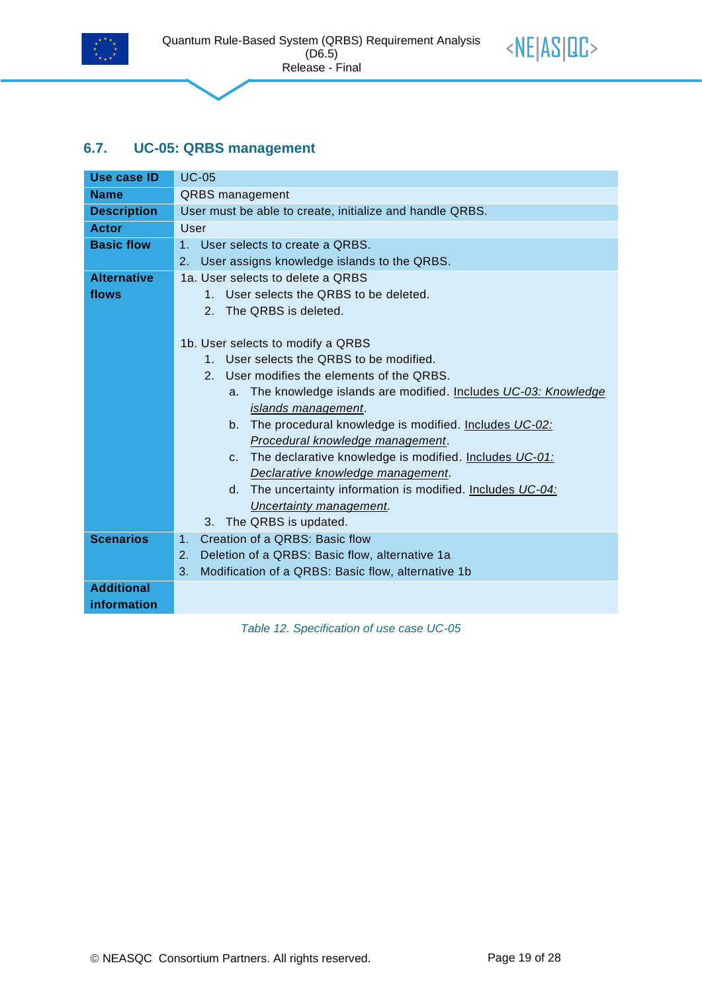![](_page_18_Picture_0.jpeg)

![](_page_18_Picture_2.jpeg)

#### <span id="page-18-0"></span>**6.7. UC-05: QRBS management**

| <b>Use case ID</b> | $UC-05$                                                              |  |  |  |  |
|--------------------|----------------------------------------------------------------------|--|--|--|--|
| <b>Name</b>        | <b>QRBS</b> management                                               |  |  |  |  |
| <b>Description</b> | User must be able to create, initialize and handle QRBS.             |  |  |  |  |
| <b>Actor</b>       | User                                                                 |  |  |  |  |
| <b>Basic flow</b>  | 1 <sub>1</sub><br>User selects to create a ORBS.                     |  |  |  |  |
|                    | User assigns knowledge islands to the QRBS.<br>2.                    |  |  |  |  |
| <b>Alternative</b> | 1a. User selects to delete a ORBS                                    |  |  |  |  |
| flows              | 1. User selects the QRBS to be deleted.                              |  |  |  |  |
|                    | 2. The QRBS is deleted.                                              |  |  |  |  |
|                    |                                                                      |  |  |  |  |
|                    | 1b. User selects to modify a QRBS                                    |  |  |  |  |
|                    | 1. User selects the QRBS to be modified.                             |  |  |  |  |
|                    | User modifies the elements of the QRBS.<br>2 <sup>1</sup>            |  |  |  |  |
|                    | The knowledge islands are modified. Includes UC-03: Knowledge<br>a.  |  |  |  |  |
|                    | islands management.                                                  |  |  |  |  |
|                    | The procedural knowledge is modified. Includes UC-02:<br>$b_{\cdot}$ |  |  |  |  |
|                    | Procedural knowledge management.                                     |  |  |  |  |
|                    | c. The declarative knowledge is modified. Includes UC-01:            |  |  |  |  |
|                    | Declarative knowledge management.                                    |  |  |  |  |
|                    | d. The uncertainty information is modified. Includes UC-04:          |  |  |  |  |
|                    | Uncertainty management.                                              |  |  |  |  |
|                    | 3. The QRBS is updated.                                              |  |  |  |  |
| <b>Scenarios</b>   | Creation of a QRBS: Basic flow<br>1.                                 |  |  |  |  |
|                    | Deletion of a QRBS: Basic flow, alternative 1a<br>2.                 |  |  |  |  |
|                    | 3.<br>Modification of a QRBS: Basic flow, alternative 1b             |  |  |  |  |
| <b>Additional</b>  |                                                                      |  |  |  |  |
| information        |                                                                      |  |  |  |  |

<span id="page-18-1"></span>*Table 12. Specification of use case UC-05*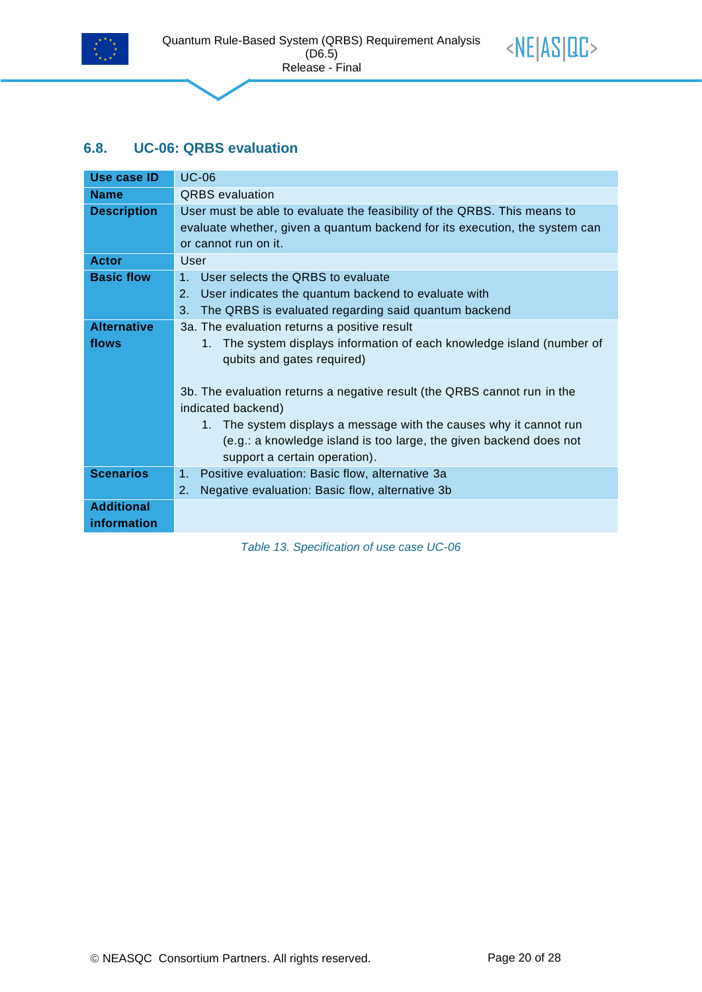![](_page_19_Picture_0.jpeg)

![](_page_19_Picture_2.jpeg)

#### <span id="page-19-0"></span>**6.8. UC-06: QRBS evaluation**

| Use case ID                      | <b>UC-06</b>                                                                                                                                                                    |
|----------------------------------|---------------------------------------------------------------------------------------------------------------------------------------------------------------------------------|
| <b>Name</b>                      | <b>QRBS</b> evaluation                                                                                                                                                          |
| <b>Description</b>               | User must be able to evaluate the feasibility of the QRBS. This means to<br>evaluate whether, given a quantum backend for its execution, the system can<br>or cannot run on it. |
| Actor                            | User                                                                                                                                                                            |
| <b>Basic flow</b>                | 1 <sub>1</sub><br>User selects the QRBS to evaluate<br>2.<br>User indicates the quantum backend to evaluate with<br>3.<br>The QRBS is evaluated regarding said quantum backend  |
| <b>Alternative</b>               | 3a. The evaluation returns a positive result                                                                                                                                    |
| flows                            | 1. The system displays information of each knowledge island (number of<br>qubits and gates required)                                                                            |
|                                  | 3b. The evaluation returns a negative result (the QRBS cannot run in the<br>indicated backend)                                                                                  |
|                                  | 1. The system displays a message with the causes why it cannot run<br>(e.g.: a knowledge island is too large, the given backend does not<br>support a certain operation).       |
| <b>Scenarios</b>                 | Positive evaluation: Basic flow, alternative 3a<br>1.<br>Negative evaluation: Basic flow, alternative 3b<br>2.                                                                  |
| <b>Additional</b><br>information |                                                                                                                                                                                 |

<span id="page-19-1"></span>*Table 13. Specification of use case UC-06*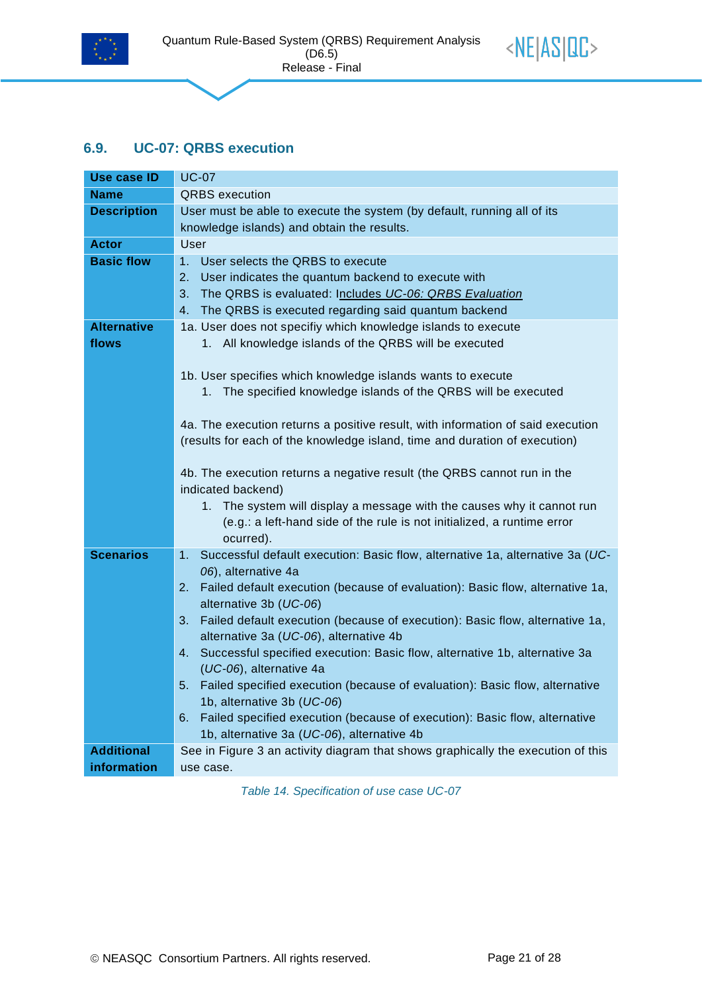![](_page_20_Picture_0.jpeg)

![](_page_20_Picture_2.jpeg)

#### <span id="page-20-0"></span>**6.9. UC-07: QRBS execution**

| Use case ID        | <b>UC-07</b>                                                                                                          |  |  |  |  |
|--------------------|-----------------------------------------------------------------------------------------------------------------------|--|--|--|--|
| Name               | <b>QRBS</b> execution                                                                                                 |  |  |  |  |
| <b>Description</b> | User must be able to execute the system (by default, running all of its<br>knowledge islands) and obtain the results. |  |  |  |  |
| <b>Actor</b>       | User                                                                                                                  |  |  |  |  |
| <b>Basic flow</b>  | 1. User selects the QRBS to execute                                                                                   |  |  |  |  |
|                    | 2.<br>User indicates the quantum backend to execute with                                                              |  |  |  |  |
|                    | The QRBS is evaluated: Includes UC-06: QRBS Evaluation<br>3.                                                          |  |  |  |  |
|                    | The QRBS is executed regarding said quantum backend<br>4.                                                             |  |  |  |  |
| <b>Alternative</b> | 1a. User does not specifiy which knowledge islands to execute                                                         |  |  |  |  |
| flows              | 1. All knowledge islands of the QRBS will be executed                                                                 |  |  |  |  |
|                    | 1b. User specifies which knowledge islands wants to execute                                                           |  |  |  |  |
|                    | 1. The specified knowledge islands of the QRBS will be executed                                                       |  |  |  |  |
|                    |                                                                                                                       |  |  |  |  |
|                    | 4a. The execution returns a positive result, with information of said execution                                       |  |  |  |  |
|                    | (results for each of the knowledge island, time and duration of execution)                                            |  |  |  |  |
|                    |                                                                                                                       |  |  |  |  |
|                    | 4b. The execution returns a negative result (the QRBS cannot run in the                                               |  |  |  |  |
|                    | indicated backend)                                                                                                    |  |  |  |  |
|                    | 1. The system will display a message with the causes why it cannot run                                                |  |  |  |  |
|                    | (e.g.: a left-hand side of the rule is not initialized, a runtime error                                               |  |  |  |  |
|                    | ocurred).                                                                                                             |  |  |  |  |
| <b>Scenarios</b>   | Successful default execution: Basic flow, alternative 1a, alternative 3a (UC-<br>1.<br>06), alternative 4a            |  |  |  |  |
|                    |                                                                                                                       |  |  |  |  |
|                    | 2.<br>Failed default execution (because of evaluation): Basic flow, alternative 1a,<br>alternative 3b (UC-06)         |  |  |  |  |
|                    | Failed default execution (because of execution): Basic flow, alternative 1a,<br>3.                                    |  |  |  |  |
|                    | alternative 3a (UC-06), alternative 4b                                                                                |  |  |  |  |
|                    | Successful specified execution: Basic flow, alternative 1b, alternative 3a<br>4.                                      |  |  |  |  |
|                    | (UC-06), alternative 4a                                                                                               |  |  |  |  |
|                    | Failed specified execution (because of evaluation): Basic flow, alternative<br>5.                                     |  |  |  |  |
|                    | 1b, alternative 3b (UC-06)                                                                                            |  |  |  |  |
|                    | Failed specified execution (because of execution): Basic flow, alternative<br>6.                                      |  |  |  |  |
|                    | 1b, alternative 3a (UC-06), alternative 4b                                                                            |  |  |  |  |
| <b>Additional</b>  | See in Figure 3 an activity diagram that shows graphically the execution of this                                      |  |  |  |  |
| information        | use case.                                                                                                             |  |  |  |  |

<span id="page-20-1"></span>*Table 14. Specification of use case UC-07*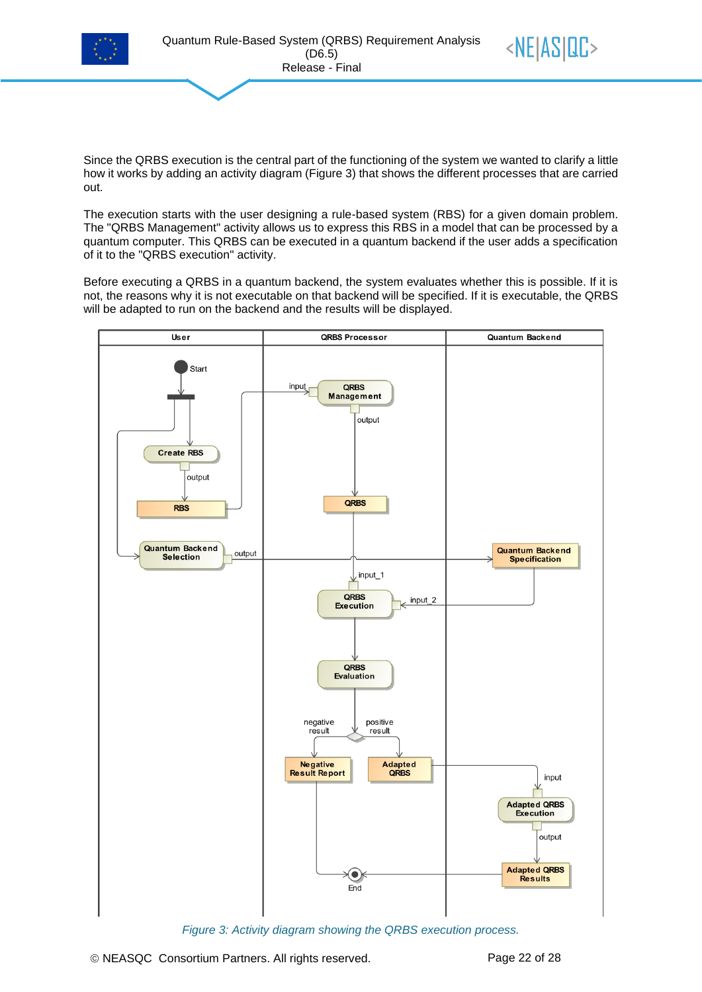![](_page_21_Picture_0.jpeg)

![](_page_21_Picture_2.jpeg)

The execution starts with the user designing a rule-based system (RBS) for a given domain problem. The "QRBS Management" activity allows us to express this RBS in a model that can be processed by a quantum computer. This QRBS can be executed in a quantum backend if the user adds a specification of it to the "QRBS execution" activity.

Before executing a QRBS in a quantum backend, the system evaluates whether this is possible. If it is not, the reasons why it is not executable on that backend will be specified. If it is executable, the QRBS will be adapted to run on the backend and the results will be displayed.

![](_page_21_Figure_5.jpeg)

<span id="page-21-0"></span>*Figure 3: Activity diagram showing the QRBS execution process.*

 $\langle NE|AS|CC \rangle$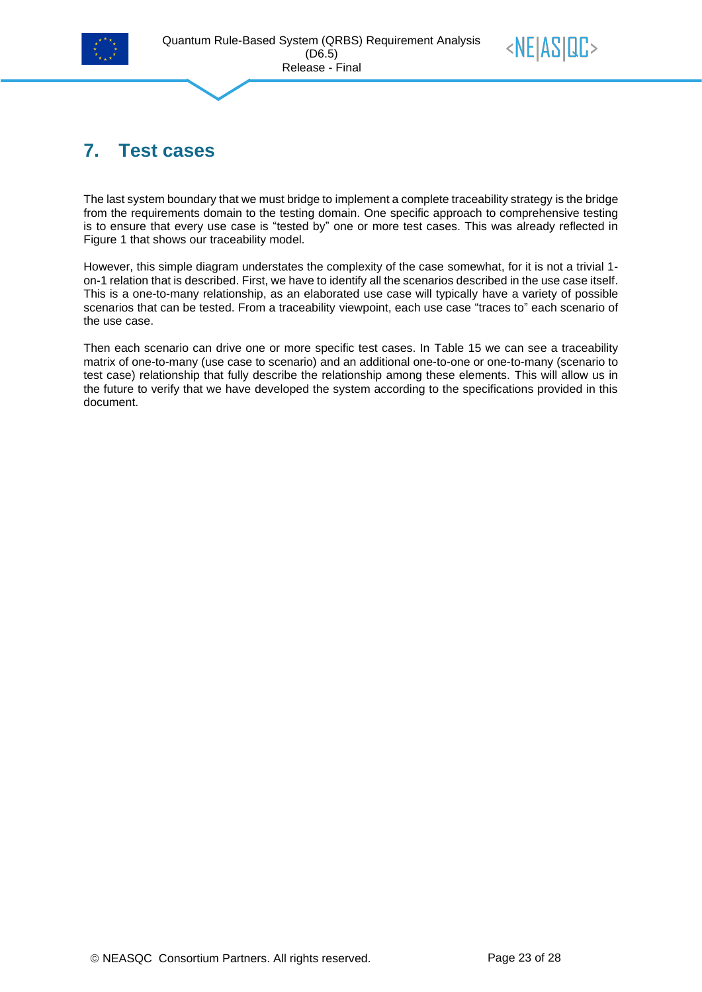![](_page_22_Picture_0.jpeg)

<span id="page-22-0"></span>![](_page_22_Picture_2.jpeg)

The last system boundary that we must bridge to implement a complete traceability strategy is the bridge from the requirements domain to the testing domain. One specific approach to comprehensive testing is to ensure that every use case is "tested by" one or more test cases. This was already reflected in [Figure 1](#page-7-1) that shows our traceability model.

However, this simple diagram understates the complexity of the case somewhat, for it is not a trivial 1 on-1 relation that is described. First, we have to identify all the scenarios described in the use case itself. This is a one-to-many relationship, as an elaborated use case will typically have a variety of possible scenarios that can be tested. From a traceability viewpoint, each use case "traces to" each scenario of the use case.

Then each scenario can drive one or more specific test cases. In [Table 15](#page-23-0) we can see a traceability matrix of one-to-many (use case to scenario) and an additional one-to-one or one-to-many (scenario to test case) relationship that fully describe the relationship among these elements. This will allow us in the future to verify that we have developed the system according to the specifications provided in this document.

 $\langle NE|AS|CC \rangle$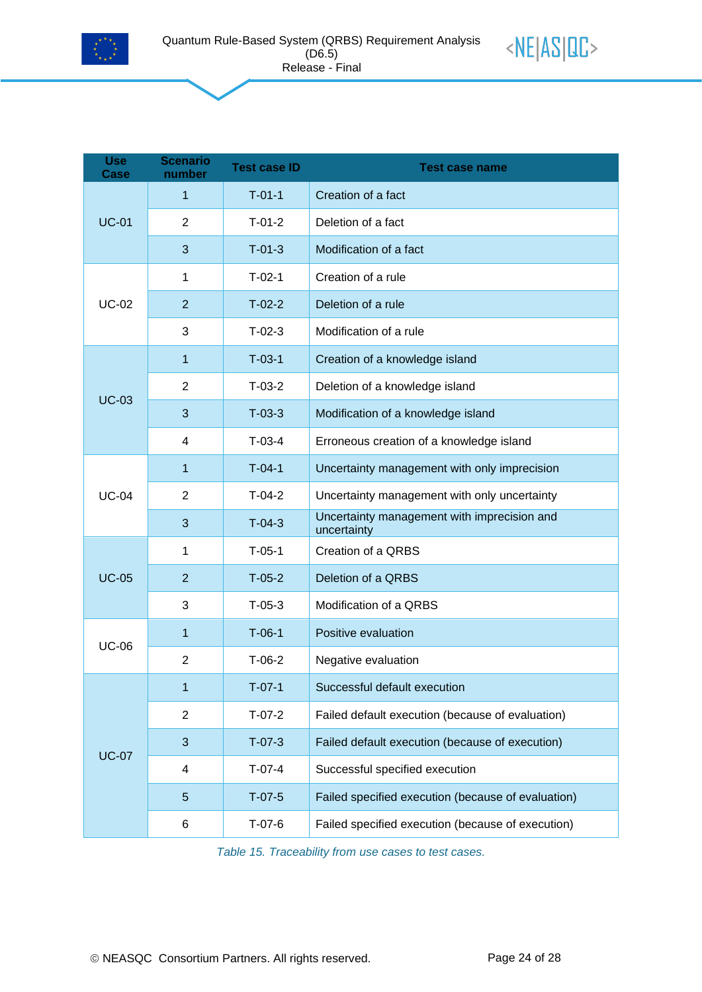![](_page_23_Picture_0.jpeg)

![](_page_23_Picture_2.jpeg)

| <b>Use</b><br>Case | <b>Scenario</b><br>number | <b>Test case ID</b> | <b>Test case name</b>                                      |
|--------------------|---------------------------|---------------------|------------------------------------------------------------|
|                    | 1                         | $T-01-1$            | Creation of a fact                                         |
| <b>UC-01</b>       | 2                         | $T-01-2$            | Deletion of a fact                                         |
|                    | 3                         | $T-01-3$            | Modification of a fact                                     |
| <b>UC-02</b>       | 1                         | $T-02-1$            | Creation of a rule                                         |
|                    | $\overline{2}$            | $T-02-2$            | Deletion of a rule                                         |
|                    | 3                         | $T-02-3$            | Modification of a rule                                     |
| <b>UC-03</b>       | 1                         | $T-03-1$            | Creation of a knowledge island                             |
|                    | $\overline{2}$            | $T-03-2$            | Deletion of a knowledge island                             |
|                    | 3                         | $T-03-3$            | Modification of a knowledge island                         |
|                    | 4                         | $T-03-4$            | Erroneous creation of a knowledge island                   |
|                    | 1                         | $T-04-1$            | Uncertainty management with only imprecision               |
| <b>UC-04</b>       | $\overline{2}$            | $T-04-2$            | Uncertainty management with only uncertainty               |
|                    | 3                         | $T-04-3$            | Uncertainty management with imprecision and<br>uncertainty |
|                    | 1                         | $T-05-1$            | Creation of a QRBS                                         |
| <b>UC-05</b>       | $\overline{2}$            | $T-05-2$            | Deletion of a QRBS                                         |
|                    | 3                         | $T-05-3$            | Modification of a QRBS                                     |
|                    | 1                         | $T-06-1$            | Positive evaluation                                        |
| <b>UC-06</b>       | $\overline{2}$            | $T-06-2$            | Negative evaluation                                        |
|                    | 1                         | $T-07-1$            | Successful default execution                               |
|                    | $\overline{2}$            | $T-07-2$            | Failed default execution (because of evaluation)           |
| <b>UC-07</b>       | 3                         | $T-07-3$            | Failed default execution (because of execution)            |
|                    | 4                         | $T-07-4$            | Successful specified execution                             |
|                    | 5                         | $T-07-5$            | Failed specified execution (because of evaluation)         |
|                    | 6                         | $T-07-6$            | Failed specified execution (because of execution)          |

<span id="page-23-0"></span>*Table 15. Traceability from use cases to test cases.*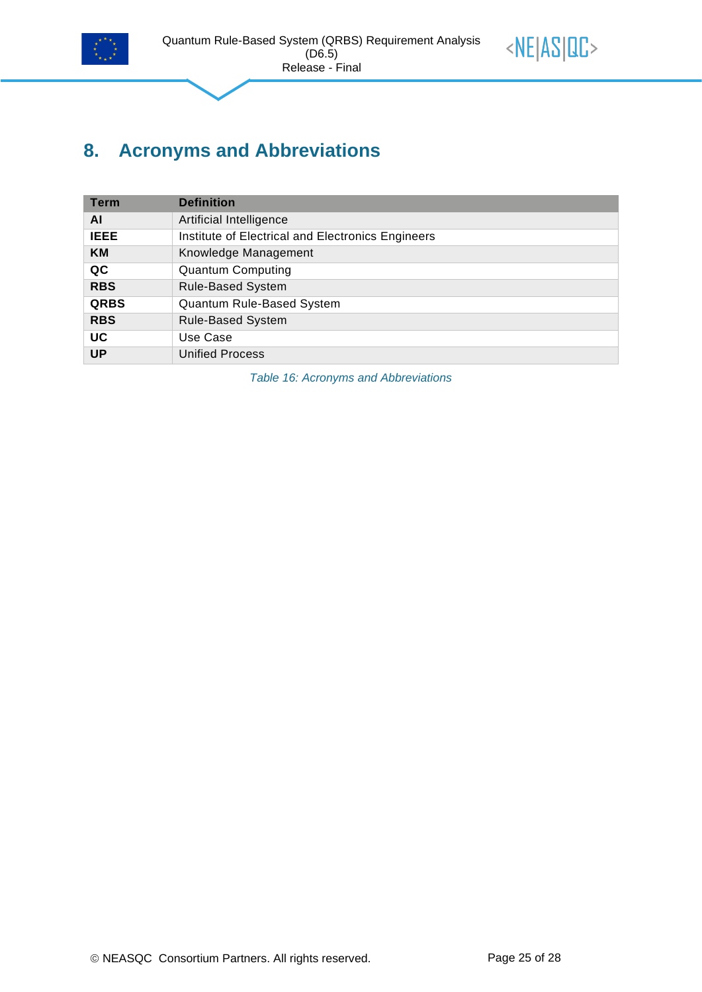![](_page_24_Picture_0.jpeg)

![](_page_24_Picture_2.jpeg)

## <span id="page-24-0"></span>**8. Acronyms and Abbreviations**

| <b>Term</b> | <b>Definition</b>                                 |
|-------------|---------------------------------------------------|
| ΑI          | Artificial Intelligence                           |
| <b>IEEE</b> | Institute of Electrical and Electronics Engineers |
| <b>KM</b>   | Knowledge Management                              |
| QC          | <b>Quantum Computing</b>                          |
| <b>RBS</b>  | <b>Rule-Based System</b>                          |
| <b>QRBS</b> | Quantum Rule-Based System                         |
| <b>RBS</b>  | <b>Rule-Based System</b>                          |
| UC          | Use Case                                          |
| <b>UP</b>   | <b>Unified Process</b>                            |

<span id="page-24-1"></span>*Table 16: Acronyms and Abbreviations*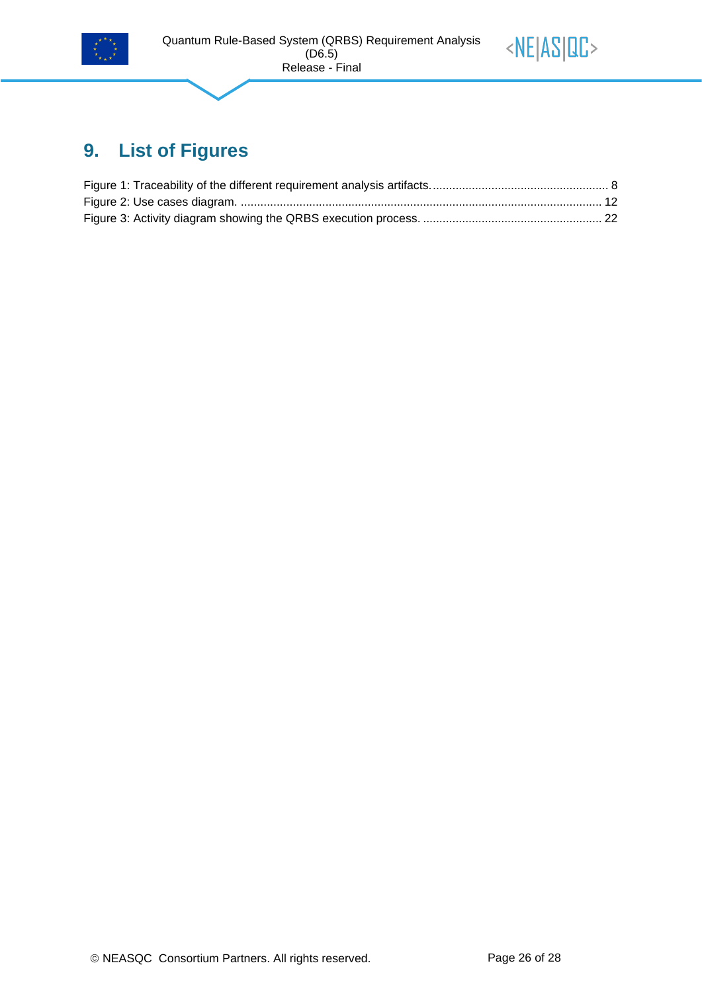![](_page_25_Picture_0.jpeg)

![](_page_25_Picture_2.jpeg)

## <span id="page-25-0"></span>**9. List of Figures**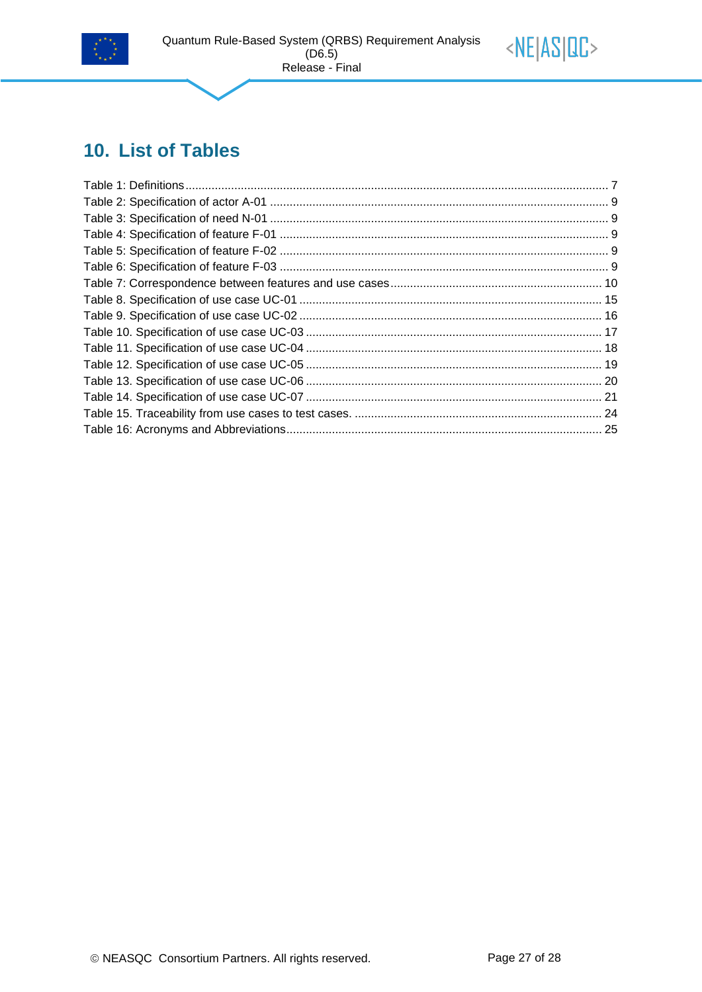![](_page_26_Picture_0.jpeg)

![](_page_26_Picture_2.jpeg)

## <span id="page-26-0"></span>10. List of Tables